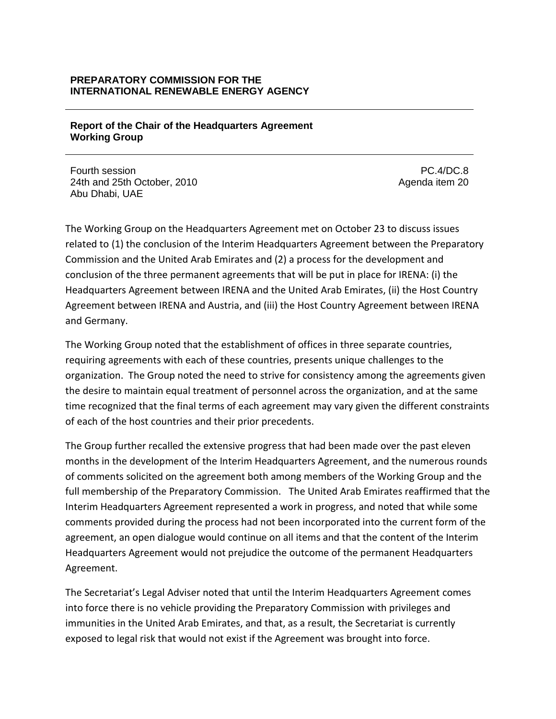#### **PREPARATORY COMMISSION FOR THE INTERNATIONAL RENEWABLE ENERGY AGENCY**

#### **Report of the Chair of the Headquarters Agreement Working Group**

Fourth session 24th and 25th October, 2010 Abu Dhabi, UAE

PC.4/DC.8 Agenda item 20

The Working Group on the Headquarters Agreement met on October 23 to discuss issues related to (1) the conclusion of the Interim Headquarters Agreement between the Preparatory Commission and the United Arab Emirates and (2) a process for the development and conclusion of the three permanent agreements that will be put in place for IRENA: (i) the Headquarters Agreement between IRENA and the United Arab Emirates, (ii) the Host Country Agreement between IRENA and Austria, and (iii) the Host Country Agreement between IRENA and Germany.

The Working Group noted that the establishment of offices in three separate countries, requiring agreements with each of these countries, presents unique challenges to the organization. The Group noted the need to strive for consistency among the agreements given the desire to maintain equal treatment of personnel across the organization, and at the same time recognized that the final terms of each agreement may vary given the different constraints of each of the host countries and their prior precedents.

The Group further recalled the extensive progress that had been made over the past eleven months in the development of the Interim Headquarters Agreement, and the numerous rounds of comments solicited on the agreement both among members of the Working Group and the full membership of the Preparatory Commission. The United Arab Emirates reaffirmed that the Interim Headquarters Agreement represented a work in progress, and noted that while some comments provided during the process had not been incorporated into the current form of the agreement, an open dialogue would continue on all items and that the content of the Interim Headquarters Agreement would not prejudice the outcome of the permanent Headquarters Agreement.

The Secretariat's Legal Adviser noted that until the Interim Headquarters Agreement comes into force there is no vehicle providing the Preparatory Commission with privileges and immunities in the United Arab Emirates, and that, as a result, the Secretariat is currently exposed to legal risk that would not exist if the Agreement was brought into force.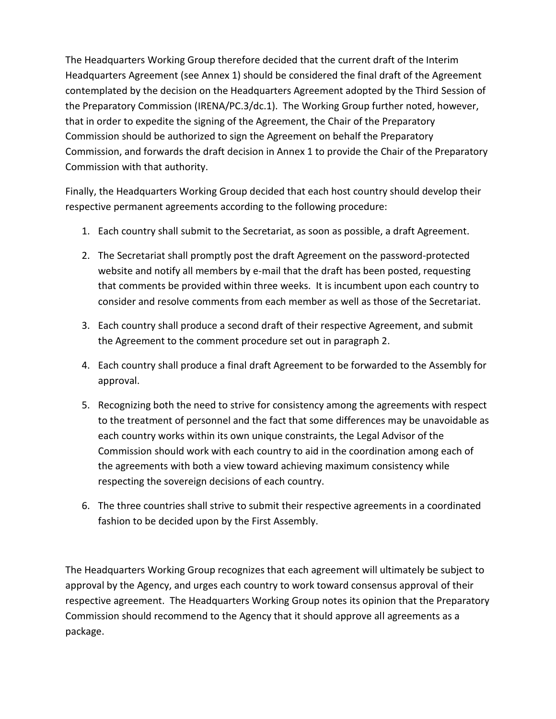The Headquarters Working Group therefore decided that the current draft of the Interim Headquarters Agreement (see Annex 1) should be considered the final draft of the Agreement contemplated by the decision on the Headquarters Agreement adopted by the Third Session of the Preparatory Commission (IRENA/PC.3/dc.1). The Working Group further noted, however, that in order to expedite the signing of the Agreement, the Chair of the Preparatory Commission should be authorized to sign the Agreement on behalf the Preparatory Commission, and forwards the draft decision in Annex 1 to provide the Chair of the Preparatory Commission with that authority.

Finally, the Headquarters Working Group decided that each host country should develop their respective permanent agreements according to the following procedure:

- 1. Each country shall submit to the Secretariat, as soon as possible, a draft Agreement.
- 2. The Secretariat shall promptly post the draft Agreement on the password-protected website and notify all members by e-mail that the draft has been posted, requesting that comments be provided within three weeks. It is incumbent upon each country to consider and resolve comments from each member as well as those of the Secretariat.
- 3. Each country shall produce a second draft of their respective Agreement, and submit the Agreement to the comment procedure set out in paragraph 2.
- 4. Each country shall produce a final draft Agreement to be forwarded to the Assembly for approval.
- 5. Recognizing both the need to strive for consistency among the agreements with respect to the treatment of personnel and the fact that some differences may be unavoidable as each country works within its own unique constraints, the Legal Advisor of the Commission should work with each country to aid in the coordination among each of the agreements with both a view toward achieving maximum consistency while respecting the sovereign decisions of each country.
- 6. The three countries shall strive to submit their respective agreements in a coordinated fashion to be decided upon by the First Assembly.

The Headquarters Working Group recognizes that each agreement will ultimately be subject to approval by the Agency, and urges each country to work toward consensus approval of their respective agreement. The Headquarters Working Group notes its opinion that the Preparatory Commission should recommend to the Agency that it should approve all agreements as a package.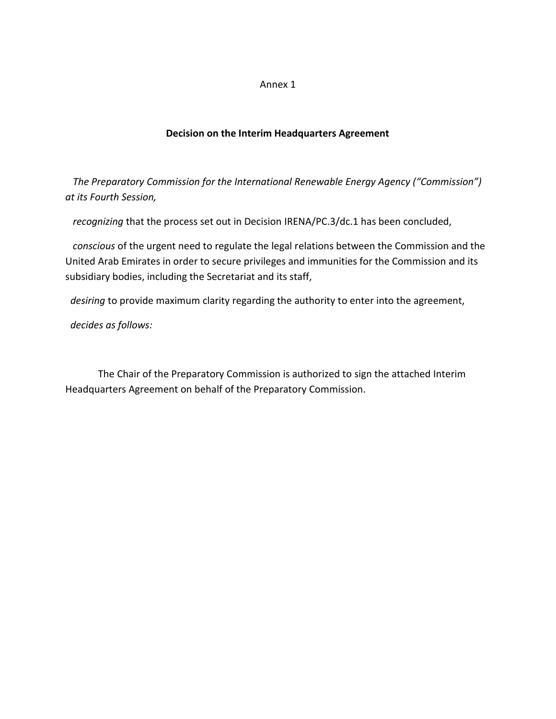#### Annex 1

#### **Decision on the Interim Headquarters Agreement**

 *The Preparatory Commission for the International Renewable Energy Agency ("Commission") at its Fourth Session,*

 *recognizing* that the process set out in Decision IRENA/PC.3/dc.1 has been concluded,

 *conscious* of the urgent need to regulate the legal relations between the Commission and the United Arab Emirates in order to secure privileges and immunities for the Commission and its subsidiary bodies, including the Secretariat and its staff,

 *desiring* to provide maximum clarity regarding the authority to enter into the agreement,

*decides as follows:*

The Chair of the Preparatory Commission is authorized to sign the attached Interim Headquarters Agreement on behalf of the Preparatory Commission.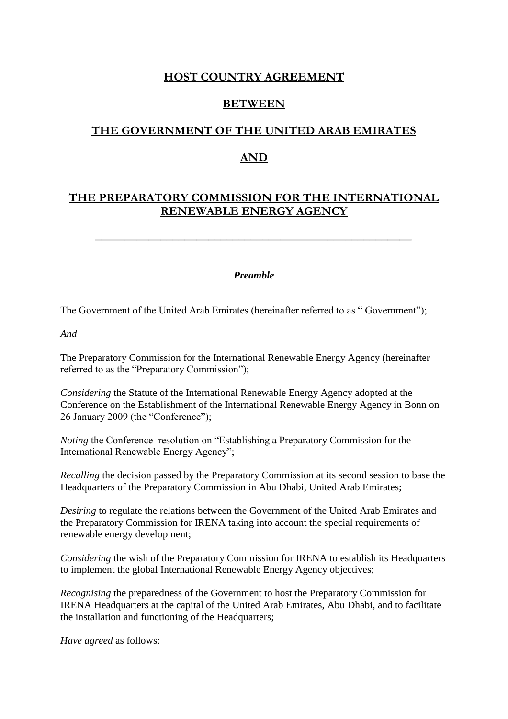# **HOST COUNTRY AGREEMENT**

# **BETWEEN**

# **THE GOVERNMENT OF THE UNITED ARAB EMIRATES**

## **AND**

# **THE PREPARATORY COMMISSION FOR THE INTERNATIONAL RENEWABLE ENERGY AGENCY**

*Preamble*

The Government of the United Arab Emirates (hereinafter referred to as " Government");

*And* 

The Preparatory Commission for the International Renewable Energy Agency (hereinafter referred to as the "Preparatory Commission");

*Considering* the Statute of the International Renewable Energy Agency adopted at the Conference on the Establishment of the International Renewable Energy Agency in Bonn on 26 January 2009 (the "Conference");

*Noting* the Conference resolution on "Establishing a Preparatory Commission for the International Renewable Energy Agency";

*Recalling* the decision passed by the Preparatory Commission at its second session to base the Headquarters of the Preparatory Commission in Abu Dhabi, United Arab Emirates;

*Desiring* to regulate the relations between the Government of the United Arab Emirates and the Preparatory Commission for IRENA taking into account the special requirements of renewable energy development;

*Considering* the wish of the Preparatory Commission for IRENA to establish its Headquarters to implement the global International Renewable Energy Agency objectives;

*Recognising* the preparedness of the Government to host the Preparatory Commission for IRENA Headquarters at the capital of the United Arab Emirates, Abu Dhabi, and to facilitate the installation and functioning of the Headquarters;

*Have agreed* as follows: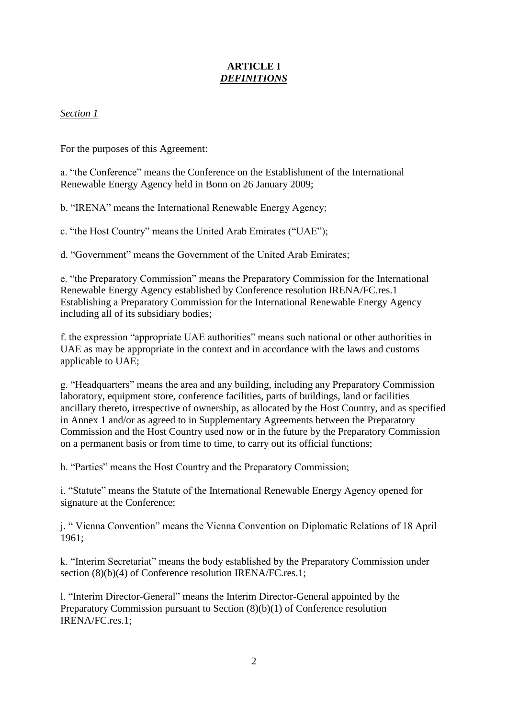# **ARTICLE I** *DEFINITIONS*

## *Section 1*

For the purposes of this Agreement:

a. "the Conference" means the Conference on the Establishment of the International Renewable Energy Agency held in Bonn on 26 January 2009;

b. "IRENA" means the International Renewable Energy Agency;

c. "the Host Country" means the United Arab Emirates ("UAE");

d. "Government" means the Government of the United Arab Emirates;

e. "the Preparatory Commission" means the Preparatory Commission for the International Renewable Energy Agency established by Conference resolution IRENA/FC.res.1 Establishing a Preparatory Commission for the International Renewable Energy Agency including all of its subsidiary bodies;

f. the expression "appropriate UAE authorities" means such national or other authorities in UAE as may be appropriate in the context and in accordance with the laws and customs applicable to UAE;

g. "Headquarters" means the area and any building, including any Preparatory Commission laboratory, equipment store, conference facilities, parts of buildings, land or facilities ancillary thereto, irrespective of ownership, as allocated by the Host Country, and as specified in Annex 1 and/or as agreed to in Supplementary Agreements between the Preparatory Commission and the Host Country used now or in the future by the Preparatory Commission on a permanent basis or from time to time, to carry out its official functions;

h. "Parties" means the Host Country and the Preparatory Commission;

i. "Statute" means the Statute of the International Renewable Energy Agency opened for signature at the Conference;

j. " Vienna Convention" means the Vienna Convention on Diplomatic Relations of 18 April 1961;

k. "Interim Secretariat" means the body established by the Preparatory Commission under section (8)(b)(4) of Conference resolution IRENA/FC.res.1;

l. "Interim Director-General" means the Interim Director-General appointed by the Preparatory Commission pursuant to Section (8)(b)(1) of Conference resolution IRENA/FC.res.1;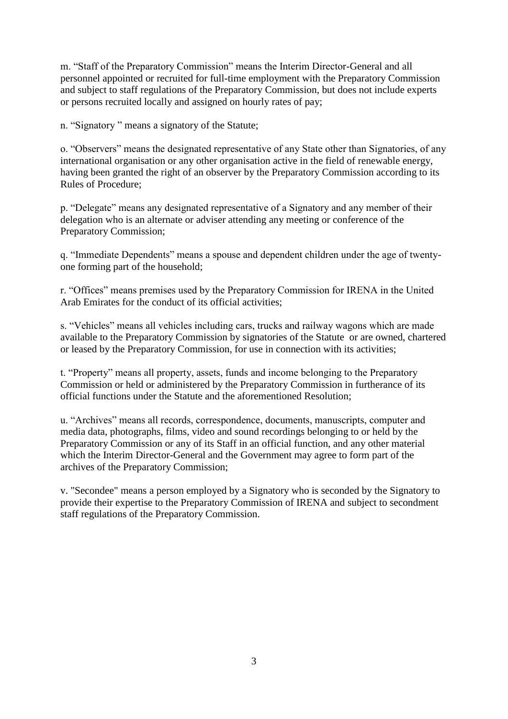m. "Staff of the Preparatory Commission" means the Interim Director-General and all personnel appointed or recruited for full-time employment with the Preparatory Commission and subject to staff regulations of the Preparatory Commission, but does not include experts or persons recruited locally and assigned on hourly rates of pay;

n. "Signatory " means a signatory of the Statute;

o. "Observers" means the designated representative of any State other than Signatories, of any international organisation or any other organisation active in the field of renewable energy, having been granted the right of an observer by the Preparatory Commission according to its Rules of Procedure;

p. "Delegate" means any designated representative of a Signatory and any member of their delegation who is an alternate or adviser attending any meeting or conference of the Preparatory Commission;

q. "Immediate Dependents" means a spouse and dependent children under the age of twentyone forming part of the household;

r. "Offices" means premises used by the Preparatory Commission for IRENA in the United Arab Emirates for the conduct of its official activities;

s. "Vehicles" means all vehicles including cars, trucks and railway wagons which are made available to the Preparatory Commission by signatories of the Statute or are owned, chartered or leased by the Preparatory Commission, for use in connection with its activities;

t. "Property" means all property, assets, funds and income belonging to the Preparatory Commission or held or administered by the Preparatory Commission in furtherance of its official functions under the Statute and the aforementioned Resolution;

u. "Archives" means all records, correspondence, documents, manuscripts, computer and media data, photographs, films, video and sound recordings belonging to or held by the Preparatory Commission or any of its Staff in an official function, and any other material which the Interim Director-General and the Government may agree to form part of the archives of the Preparatory Commission;

v. "Secondee" means a person employed by a Signatory who is seconded by the Signatory to provide their expertise to the Preparatory Commission of IRENA and subject to secondment staff regulations of the Preparatory Commission.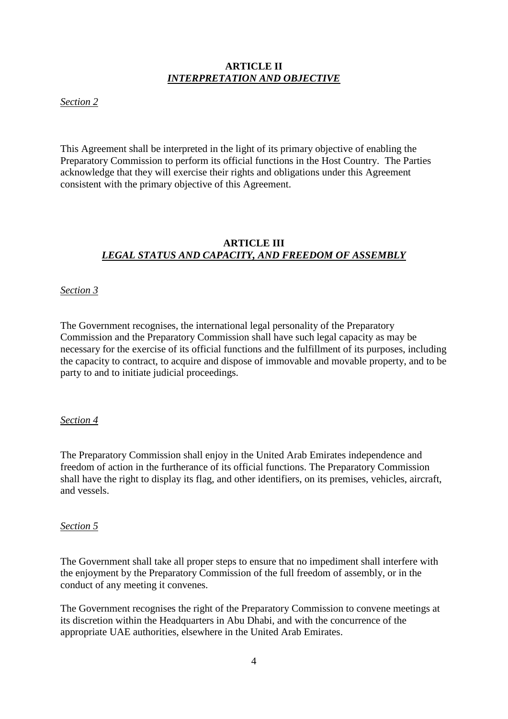## **ARTICLE II** *INTERPRETATION AND OBJECTIVE*

*Section 2*

This Agreement shall be interpreted in the light of its primary objective of enabling the Preparatory Commission to perform its official functions in the Host Country. The Parties acknowledge that they will exercise their rights and obligations under this Agreement consistent with the primary objective of this Agreement.

# **ARTICLE III** *LEGAL STATUS AND CAPACITY, AND FREEDOM OF ASSEMBLY*

### *Section 3*

The Government recognises, the international legal personality of the Preparatory Commission and the Preparatory Commission shall have such legal capacity as may be necessary for the exercise of its official functions and the fulfillment of its purposes, including the capacity to contract, to acquire and dispose of immovable and movable property, and to be party to and to initiate judicial proceedings.

#### *Section 4*

The Preparatory Commission shall enjoy in the United Arab Emirates independence and freedom of action in the furtherance of its official functions. The Preparatory Commission shall have the right to display its flag, and other identifiers, on its premises, vehicles, aircraft, and vessels.

#### *Section 5*

The Government shall take all proper steps to ensure that no impediment shall interfere with the enjoyment by the Preparatory Commission of the full freedom of assembly, or in the conduct of any meeting it convenes.

The Government recognises the right of the Preparatory Commission to convene meetings at its discretion within the Headquarters in Abu Dhabi, and with the concurrence of the appropriate UAE authorities, elsewhere in the United Arab Emirates.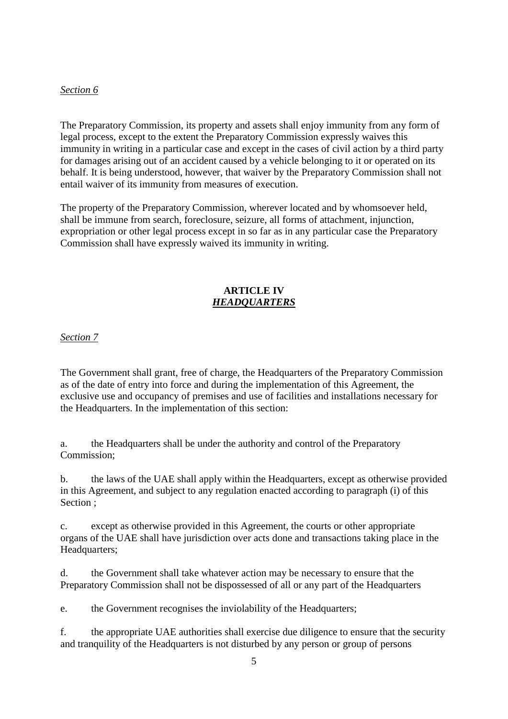### *Section 6*

The Preparatory Commission, its property and assets shall enjoy immunity from any form of legal process, except to the extent the Preparatory Commission expressly waives this immunity in writing in a particular case and except in the cases of civil action by a third party for damages arising out of an accident caused by a vehicle belonging to it or operated on its behalf. It is being understood, however, that waiver by the Preparatory Commission shall not entail waiver of its immunity from measures of execution.

The property of the Preparatory Commission, wherever located and by whomsoever held, shall be immune from search, foreclosure, seizure, all forms of attachment, injunction, expropriation or other legal process except in so far as in any particular case the Preparatory Commission shall have expressly waived its immunity in writing.

### **ARTICLE IV** *HEADQUARTERS*

*Section 7* 

The Government shall grant, free of charge, the Headquarters of the Preparatory Commission as of the date of entry into force and during the implementation of this Agreement, the exclusive use and occupancy of premises and use of facilities and installations necessary for the Headquarters. In the implementation of this section:

a. the Headquarters shall be under the authority and control of the Preparatory Commission;

b. the laws of the UAE shall apply within the Headquarters, except as otherwise provided in this Agreement, and subject to any regulation enacted according to paragraph (i) of this Section ;

c. except as otherwise provided in this Agreement, the courts or other appropriate organs of the UAE shall have jurisdiction over acts done and transactions taking place in the Headquarters;

d. the Government shall take whatever action may be necessary to ensure that the Preparatory Commission shall not be dispossessed of all or any part of the Headquarters

e. the Government recognises the inviolability of the Headquarters;

f. the appropriate UAE authorities shall exercise due diligence to ensure that the security and tranquility of the Headquarters is not disturbed by any person or group of persons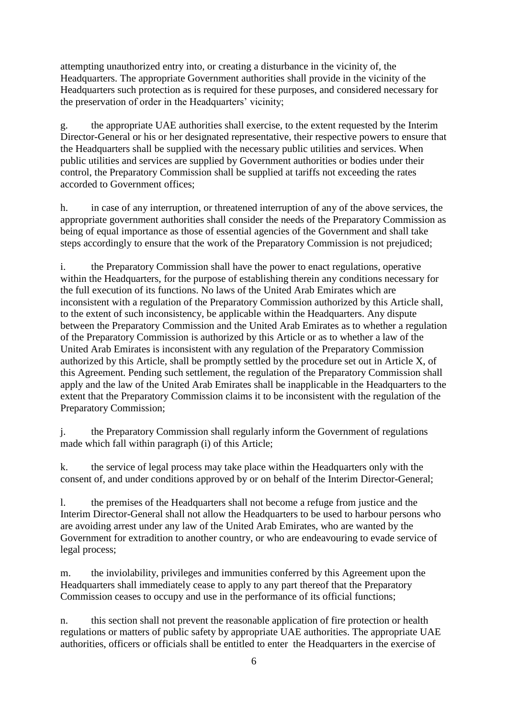attempting unauthorized entry into, or creating a disturbance in the vicinity of, the Headquarters. The appropriate Government authorities shall provide in the vicinity of the Headquarters such protection as is required for these purposes, and considered necessary for the preservation of order in the Headquarters' vicinity;

g. the appropriate UAE authorities shall exercise, to the extent requested by the Interim Director-General or his or her designated representative, their respective powers to ensure that the Headquarters shall be supplied with the necessary public utilities and services. When public utilities and services are supplied by Government authorities or bodies under their control, the Preparatory Commission shall be supplied at tariffs not exceeding the rates accorded to Government offices;

h. in case of any interruption, or threatened interruption of any of the above services, the appropriate government authorities shall consider the needs of the Preparatory Commission as being of equal importance as those of essential agencies of the Government and shall take steps accordingly to ensure that the work of the Preparatory Commission is not prejudiced;

i. the Preparatory Commission shall have the power to enact regulations, operative within the Headquarters, for the purpose of establishing therein any conditions necessary for the full execution of its functions. No laws of the United Arab Emirates which are inconsistent with a regulation of the Preparatory Commission authorized by this Article shall, to the extent of such inconsistency, be applicable within the Headquarters. Any dispute between the Preparatory Commission and the United Arab Emirates as to whether a regulation of the Preparatory Commission is authorized by this Article or as to whether a law of the United Arab Emirates is inconsistent with any regulation of the Preparatory Commission authorized by this Article, shall be promptly settled by the procedure set out in Article X, of this Agreement. Pending such settlement, the regulation of the Preparatory Commission shall apply and the law of the United Arab Emirates shall be inapplicable in the Headquarters to the extent that the Preparatory Commission claims it to be inconsistent with the regulation of the Preparatory Commission;

j. the Preparatory Commission shall regularly inform the Government of regulations made which fall within paragraph (i) of this Article;

k. the service of legal process may take place within the Headquarters only with the consent of, and under conditions approved by or on behalf of the Interim Director-General;

l. the premises of the Headquarters shall not become a refuge from justice and the Interim Director-General shall not allow the Headquarters to be used to harbour persons who are avoiding arrest under any law of the United Arab Emirates, who are wanted by the Government for extradition to another country, or who are endeavouring to evade service of legal process;

m. the inviolability, privileges and immunities conferred by this Agreement upon the Headquarters shall immediately cease to apply to any part thereof that the Preparatory Commission ceases to occupy and use in the performance of its official functions;

n. this section shall not prevent the reasonable application of fire protection or health regulations or matters of public safety by appropriate UAE authorities. The appropriate UAE authorities, officers or officials shall be entitled to enter the Headquarters in the exercise of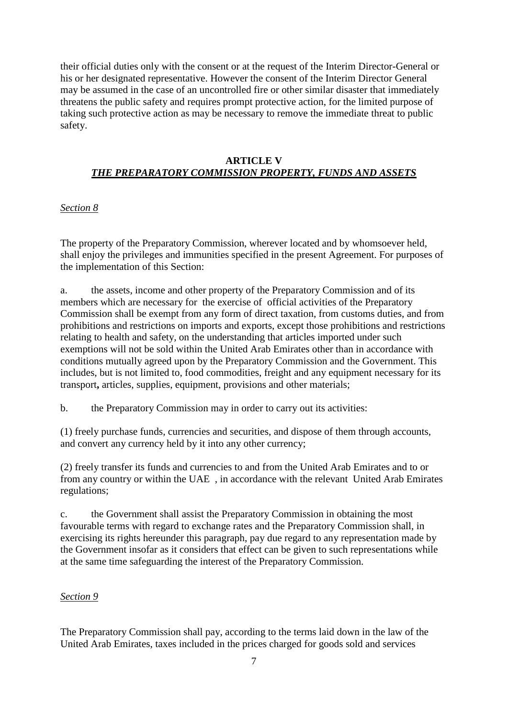their official duties only with the consent or at the request of the Interim Director-General or his or her designated representative. However the consent of the Interim Director General may be assumed in the case of an uncontrolled fire or other similar disaster that immediately threatens the public safety and requires prompt protective action, for the limited purpose of taking such protective action as may be necessary to remove the immediate threat to public safety.

### **ARTICLE V** *THE PREPARATORY COMMISSION PROPERTY, FUNDS AND ASSETS*

# *Section 8*

The property of the Preparatory Commission, wherever located and by whomsoever held, shall enjoy the privileges and immunities specified in the present Agreement. For purposes of the implementation of this Section:

a. the assets, income and other property of the Preparatory Commission and of its members which are necessary for the exercise of official activities of the Preparatory Commission shall be exempt from any form of direct taxation, from customs duties, and from prohibitions and restrictions on imports and exports, except those prohibitions and restrictions relating to health and safety, on the understanding that articles imported under such exemptions will not be sold within the United Arab Emirates other than in accordance with conditions mutually agreed upon by the Preparatory Commission and the Government. This includes, but is not limited to, food commodities, freight and any equipment necessary for its transport**,** articles, supplies, equipment, provisions and other materials;

b. the Preparatory Commission may in order to carry out its activities:

(1) freely purchase funds, currencies and securities, and dispose of them through accounts, and convert any currency held by it into any other currency;

(2) freely transfer its funds and currencies to and from the United Arab Emirates and to or from any country or within the UAE , in accordance with the relevant United Arab Emirates regulations;

c. the Government shall assist the Preparatory Commission in obtaining the most favourable terms with regard to exchange rates and the Preparatory Commission shall, in exercising its rights hereunder this paragraph, pay due regard to any representation made by the Government insofar as it considers that effect can be given to such representations while at the same time safeguarding the interest of the Preparatory Commission.

## *Section 9*

The Preparatory Commission shall pay, according to the terms laid down in the law of the United Arab Emirates, taxes included in the prices charged for goods sold and services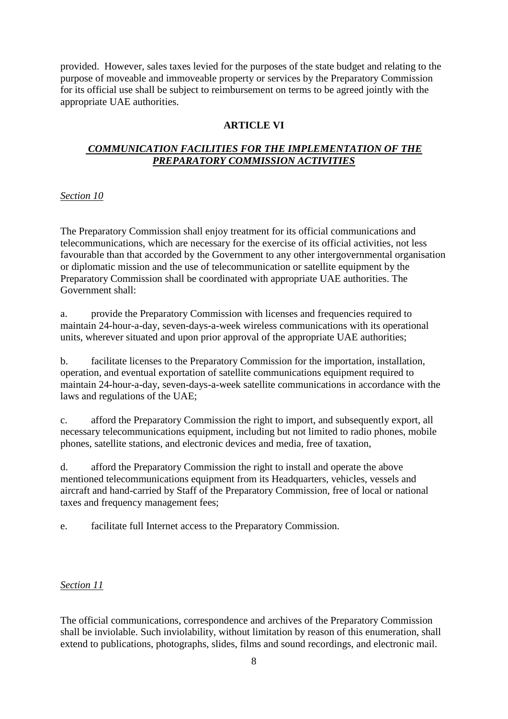provided. However, sales taxes levied for the purposes of the state budget and relating to the purpose of moveable and immoveable property or services by the Preparatory Commission for its official use shall be subject to reimbursement on terms to be agreed jointly with the appropriate UAE authorities.

# **ARTICLE VI**

## *COMMUNICATION FACILITIES FOR THE IMPLEMENTATION OF THE PREPARATORY COMMISSION ACTIVITIES*

## *Section 10*

The Preparatory Commission shall enjoy treatment for its official communications and telecommunications, which are necessary for the exercise of its official activities, not less favourable than that accorded by the Government to any other intergovernmental organisation or diplomatic mission and the use of telecommunication or satellite equipment by the Preparatory Commission shall be coordinated with appropriate UAE authorities. The Government shall:

a. provide the Preparatory Commission with licenses and frequencies required to maintain 24-hour-a-day, seven-days-a-week wireless communications with its operational units, wherever situated and upon prior approval of the appropriate UAE authorities;

b. facilitate licenses to the Preparatory Commission for the importation, installation, operation, and eventual exportation of satellite communications equipment required to maintain 24-hour-a-day, seven-days-a-week satellite communications in accordance with the laws and regulations of the UAE;

c. afford the Preparatory Commission the right to import, and subsequently export, all necessary telecommunications equipment, including but not limited to radio phones, mobile phones, satellite stations, and electronic devices and media, free of taxation,

d. afford the Preparatory Commission the right to install and operate the above mentioned telecommunications equipment from its Headquarters, vehicles, vessels and aircraft and hand-carried by Staff of the Preparatory Commission, free of local or national taxes and frequency management fees;

e. facilitate full Internet access to the Preparatory Commission.

## *Section 11*

The official communications, correspondence and archives of the Preparatory Commission shall be inviolable. Such inviolability, without limitation by reason of this enumeration, shall extend to publications, photographs, slides, films and sound recordings, and electronic mail.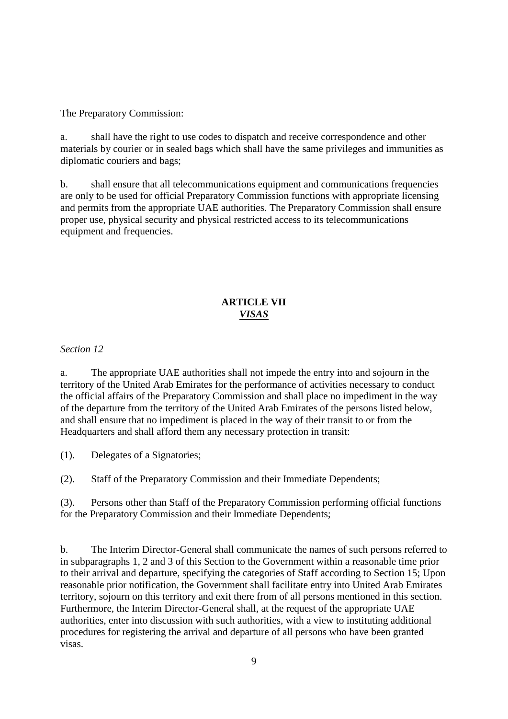The Preparatory Commission:

a. shall have the right to use codes to dispatch and receive correspondence and other materials by courier or in sealed bags which shall have the same privileges and immunities as diplomatic couriers and bags;

b. shall ensure that all telecommunications equipment and communications frequencies are only to be used for official Preparatory Commission functions with appropriate licensing and permits from the appropriate UAE authorities. The Preparatory Commission shall ensure proper use, physical security and physical restricted access to its telecommunications equipment and frequencies.

# **ARTICLE VII** *VISAS*

## *Section 12*

a. The appropriate UAE authorities shall not impede the entry into and sojourn in the territory of the United Arab Emirates for the performance of activities necessary to conduct the official affairs of the Preparatory Commission and shall place no impediment in the way of the departure from the territory of the United Arab Emirates of the persons listed below, and shall ensure that no impediment is placed in the way of their transit to or from the Headquarters and shall afford them any necessary protection in transit:

(1). Delegates of a Signatories;

(2). Staff of the Preparatory Commission and their Immediate Dependents;

(3). Persons other than Staff of the Preparatory Commission performing official functions for the Preparatory Commission and their Immediate Dependents;

b. The Interim Director-General shall communicate the names of such persons referred to in subparagraphs 1, 2 and 3 of this Section to the Government within a reasonable time prior to their arrival and departure, specifying the categories of Staff according to Section 15; Upon reasonable prior notification, the Government shall facilitate entry into United Arab Emirates territory, sojourn on this territory and exit there from of all persons mentioned in this section. Furthermore, the Interim Director-General shall, at the request of the appropriate UAE authorities, enter into discussion with such authorities, with a view to instituting additional procedures for registering the arrival and departure of all persons who have been granted visas.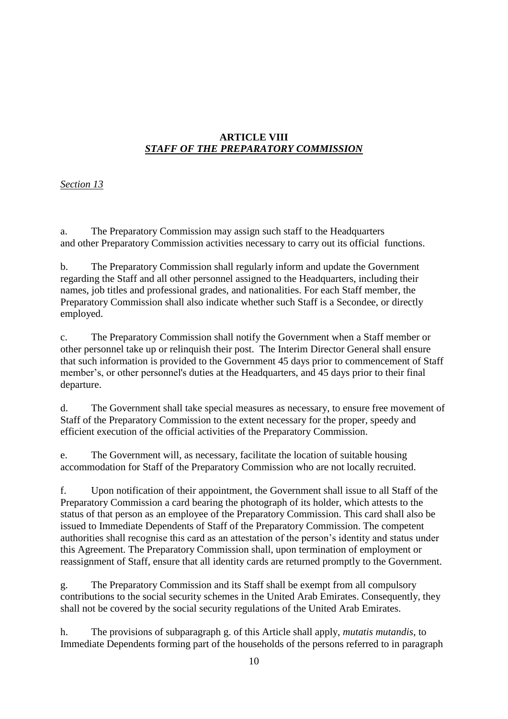## **ARTICLE VIII** *STAFF OF THE PREPARATORY COMMISSION*

# *Section 13*

a. The Preparatory Commission may assign such staff to the Headquarters and other Preparatory Commission activities necessary to carry out its official functions.

b. The Preparatory Commission shall regularly inform and update the Government regarding the Staff and all other personnel assigned to the Headquarters, including their names, job titles and professional grades, and nationalities. For each Staff member, the Preparatory Commission shall also indicate whether such Staff is a Secondee, or directly employed.

c. The Preparatory Commission shall notify the Government when a Staff member or other personnel take up or relinquish their post. The Interim Director General shall ensure that such information is provided to the Government 45 days prior to commencement of Staff member's, or other personnel's duties at the Headquarters, and 45 days prior to their final departure.

d. The Government shall take special measures as necessary, to ensure free movement of Staff of the Preparatory Commission to the extent necessary for the proper, speedy and efficient execution of the official activities of the Preparatory Commission.

e. The Government will, as necessary, facilitate the location of suitable housing accommodation for Staff of the Preparatory Commission who are not locally recruited.

f. Upon notification of their appointment, the Government shall issue to all Staff of the Preparatory Commission a card bearing the photograph of its holder, which attests to the status of that person as an employee of the Preparatory Commission. This card shall also be issued to Immediate Dependents of Staff of the Preparatory Commission. The competent authorities shall recognise this card as an attestation of the person's identity and status under this Agreement. The Preparatory Commission shall, upon termination of employment or reassignment of Staff, ensure that all identity cards are returned promptly to the Government.

g. The Preparatory Commission and its Staff shall be exempt from all compulsory contributions to the social security schemes in the United Arab Emirates. Consequently, they shall not be covered by the social security regulations of the United Arab Emirates.

h. The provisions of subparagraph g. of this Article shall apply, *mutatis mutandis*, to Immediate Dependents forming part of the households of the persons referred to in paragraph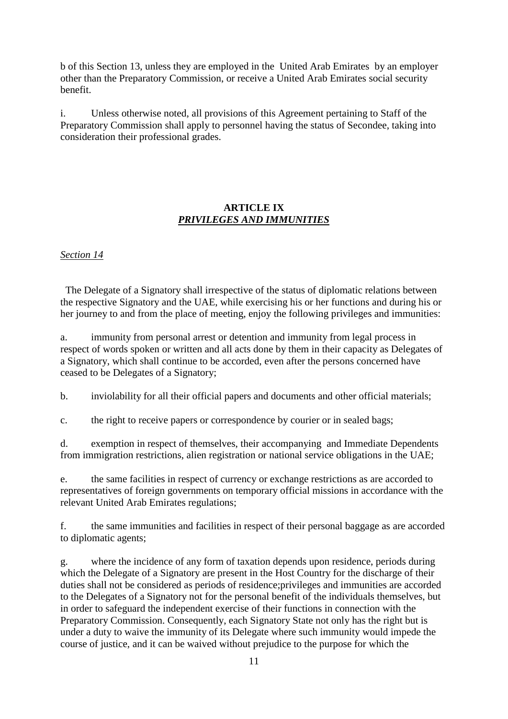b of this Section 13, unless they are employed in the United Arab Emirates by an employer other than the Preparatory Commission, or receive a United Arab Emirates social security benefit.

i. Unless otherwise noted, all provisions of this Agreement pertaining to Staff of the Preparatory Commission shall apply to personnel having the status of Secondee, taking into consideration their professional grades.

# **ARTICLE IX** *PRIVILEGES AND IMMUNITIES*

## *Section 14*

 The Delegate of a Signatory shall irrespective of the status of diplomatic relations between the respective Signatory and the UAE, while exercising his or her functions and during his or her journey to and from the place of meeting, enjoy the following privileges and immunities:

a. immunity from personal arrest or detention and immunity from legal process in respect of words spoken or written and all acts done by them in their capacity as Delegates of a Signatory, which shall continue to be accorded, even after the persons concerned have ceased to be Delegates of a Signatory;

b. inviolability for all their official papers and documents and other official materials;

c. the right to receive papers or correspondence by courier or in sealed bags;

d. exemption in respect of themselves, their accompanying and Immediate Dependents from immigration restrictions, alien registration or national service obligations in the UAE;

e. the same facilities in respect of currency or exchange restrictions as are accorded to representatives of foreign governments on temporary official missions in accordance with the relevant United Arab Emirates regulations;

f. the same immunities and facilities in respect of their personal baggage as are accorded to diplomatic agents;

g. where the incidence of any form of taxation depends upon residence, periods during which the Delegate of a Signatory are present in the Host Country for the discharge of their duties shall not be considered as periods of residence;privileges and immunities are accorded to the Delegates of a Signatory not for the personal benefit of the individuals themselves, but in order to safeguard the independent exercise of their functions in connection with the Preparatory Commission. Consequently, each Signatory State not only has the right but is under a duty to waive the immunity of its Delegate where such immunity would impede the course of justice, and it can be waived without prejudice to the purpose for which the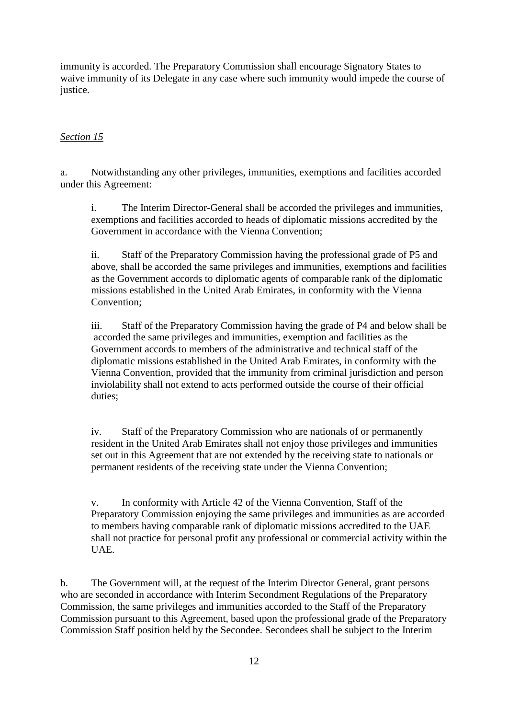immunity is accorded. The Preparatory Commission shall encourage Signatory States to waive immunity of its Delegate in any case where such immunity would impede the course of justice.

### *Section 15*

a. Notwithstanding any other privileges, immunities, exemptions and facilities accorded under this Agreement:

i. The Interim Director-General shall be accorded the privileges and immunities, exemptions and facilities accorded to heads of diplomatic missions accredited by the Government in accordance with the Vienna Convention;

ii. Staff of the Preparatory Commission having the professional grade of P5 and above, shall be accorded the same privileges and immunities, exemptions and facilities as the Government accords to diplomatic agents of comparable rank of the diplomatic missions established in the United Arab Emirates, in conformity with the Vienna Convention;

iii. Staff of the Preparatory Commission having the grade of P4 and below shall be accorded the same privileges and immunities, exemption and facilities as the Government accords to members of the administrative and technical staff of the diplomatic missions established in the United Arab Emirates, in conformity with the Vienna Convention, provided that the immunity from criminal jurisdiction and person inviolability shall not extend to acts performed outside the course of their official duties;

iv. Staff of the Preparatory Commission who are nationals of or permanently resident in the United Arab Emirates shall not enjoy those privileges and immunities set out in this Agreement that are not extended by the receiving state to nationals or permanent residents of the receiving state under the Vienna Convention;

v. In conformity with Article 42 of the Vienna Convention, Staff of the Preparatory Commission enjoying the same privileges and immunities as are accorded to members having comparable rank of diplomatic missions accredited to the UAE shall not practice for personal profit any professional or commercial activity within the UAE.

b. The Government will, at the request of the Interim Director General, grant persons who are seconded in accordance with Interim Secondment Regulations of the Preparatory Commission, the same privileges and immunities accorded to the Staff of the Preparatory Commission pursuant to this Agreement, based upon the professional grade of the Preparatory Commission Staff position held by the Secondee. Secondees shall be subject to the Interim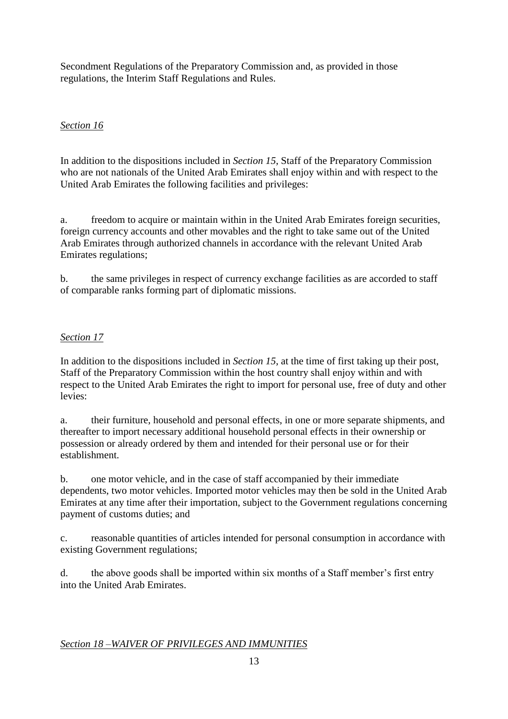Secondment Regulations of the Preparatory Commission and, as provided in those regulations, the Interim Staff Regulations and Rules.

# *Section 16*

In addition to the dispositions included in *Section 15*, Staff of the Preparatory Commission who are not nationals of the United Arab Emirates shall enjoy within and with respect to the United Arab Emirates the following facilities and privileges:

a. freedom to acquire or maintain within in the United Arab Emirates foreign securities, foreign currency accounts and other movables and the right to take same out of the United Arab Emirates through authorized channels in accordance with the relevant United Arab Emirates regulations;

b. the same privileges in respect of currency exchange facilities as are accorded to staff of comparable ranks forming part of diplomatic missions.

# *Section 17*

In addition to the dispositions included in *Section 15*, at the time of first taking up their post, Staff of the Preparatory Commission within the host country shall enjoy within and with respect to the United Arab Emirates the right to import for personal use, free of duty and other levies:

a. their furniture, household and personal effects, in one or more separate shipments, and thereafter to import necessary additional household personal effects in their ownership or possession or already ordered by them and intended for their personal use or for their establishment.

b. one motor vehicle, and in the case of staff accompanied by their immediate dependents, two motor vehicles. Imported motor vehicles may then be sold in the United Arab Emirates at any time after their importation, subject to the Government regulations concerning payment of customs duties; and

c. reasonable quantities of articles intended for personal consumption in accordance with existing Government regulations;

d. the above goods shall be imported within six months of a Staff member's first entry into the United Arab Emirates.

## *Section 18 –WAIVER OF PRIVILEGES AND IMMUNITIES*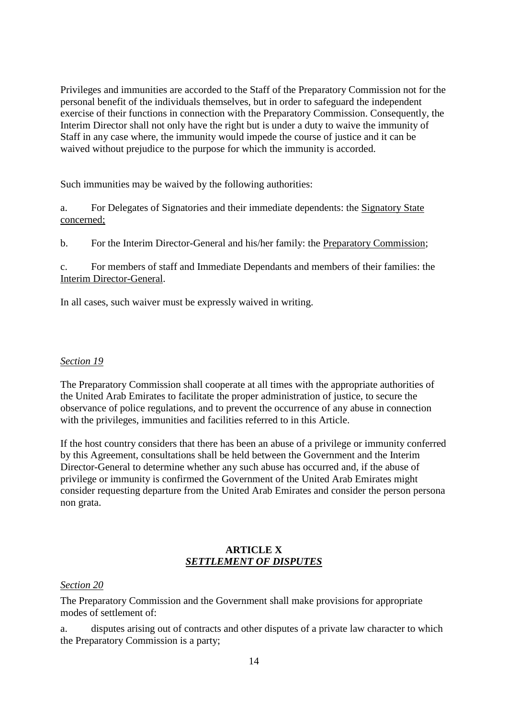Privileges and immunities are accorded to the Staff of the Preparatory Commission not for the personal benefit of the individuals themselves, but in order to safeguard the independent exercise of their functions in connection with the Preparatory Commission. Consequently, the Interim Director shall not only have the right but is under a duty to waive the immunity of Staff in any case where, the immunity would impede the course of justice and it can be waived without prejudice to the purpose for which the immunity is accorded.

Such immunities may be waived by the following authorities:

a. For Delegates of Signatories and their immediate dependents: the Signatory State concerned;

b. For the Interim Director-General and his/her family: the Preparatory Commission;

c. For members of staff and Immediate Dependants and members of their families: the Interim Director-General.

In all cases, such waiver must be expressly waived in writing.

#### *Section 19*

The Preparatory Commission shall cooperate at all times with the appropriate authorities of the United Arab Emirates to facilitate the proper administration of justice, to secure the observance of police regulations, and to prevent the occurrence of any abuse in connection with the privileges, immunities and facilities referred to in this Article.

If the host country considers that there has been an abuse of a privilege or immunity conferred by this Agreement, consultations shall be held between the Government and the Interim Director-General to determine whether any such abuse has occurred and, if the abuse of privilege or immunity is confirmed the Government of the United Arab Emirates might consider requesting departure from the United Arab Emirates and consider the person persona non grata.

### **ARTICLE X** *SETTLEMENT OF DISPUTES*

#### *Section 20*

The Preparatory Commission and the Government shall make provisions for appropriate modes of settlement of:

a. disputes arising out of contracts and other disputes of a private law character to which the Preparatory Commission is a party;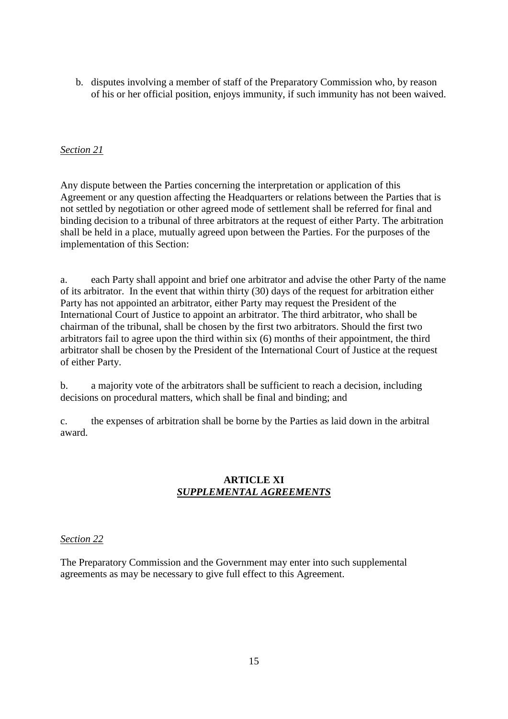b. disputes involving a member of staff of the Preparatory Commission who, by reason of his or her official position, enjoys immunity, if such immunity has not been waived.

### *Section 21*

Any dispute between the Parties concerning the interpretation or application of this Agreement or any question affecting the Headquarters or relations between the Parties that is not settled by negotiation or other agreed mode of settlement shall be referred for final and binding decision to a tribunal of three arbitrators at the request of either Party. The arbitration shall be held in a place, mutually agreed upon between the Parties. For the purposes of the implementation of this Section:

a. each Party shall appoint and brief one arbitrator and advise the other Party of the name of its arbitrator. In the event that within thirty (30) days of the request for arbitration either Party has not appointed an arbitrator, either Party may request the President of the International Court of Justice to appoint an arbitrator. The third arbitrator, who shall be chairman of the tribunal, shall be chosen by the first two arbitrators. Should the first two arbitrators fail to agree upon the third within six (6) months of their appointment, the third arbitrator shall be chosen by the President of the International Court of Justice at the request of either Party.

b. a majority vote of the arbitrators shall be sufficient to reach a decision, including decisions on procedural matters, which shall be final and binding; and

c. the expenses of arbitration shall be borne by the Parties as laid down in the arbitral award.

### **ARTICLE XI** *SUPPLEMENTAL AGREEMENTS*

#### *Section 22*

The Preparatory Commission and the Government may enter into such supplemental agreements as may be necessary to give full effect to this Agreement.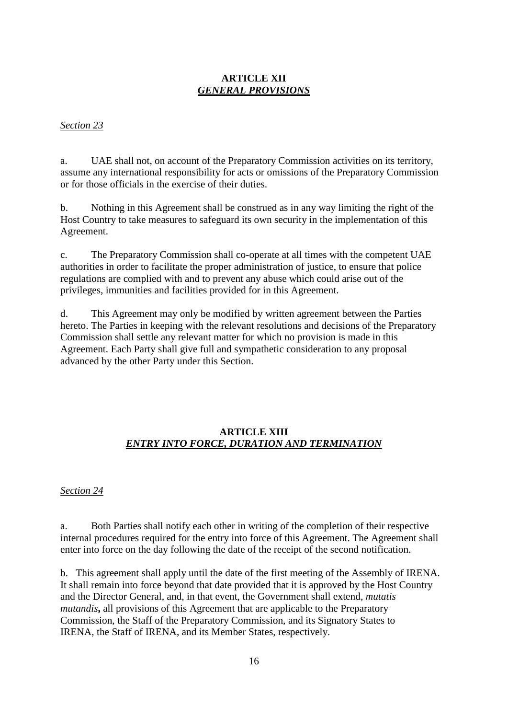### **ARTICLE XII** *GENERAL PROVISIONS*

#### *Section 23*

a. UAE shall not, on account of the Preparatory Commission activities on its territory, assume any international responsibility for acts or omissions of the Preparatory Commission or for those officials in the exercise of their duties.

b. Nothing in this Agreement shall be construed as in any way limiting the right of the Host Country to take measures to safeguard its own security in the implementation of this Agreement.

c. The Preparatory Commission shall co-operate at all times with the competent UAE authorities in order to facilitate the proper administration of justice, to ensure that police regulations are complied with and to prevent any abuse which could arise out of the privileges, immunities and facilities provided for in this Agreement.

d. This Agreement may only be modified by written agreement between the Parties hereto. The Parties in keeping with the relevant resolutions and decisions of the Preparatory Commission shall settle any relevant matter for which no provision is made in this Agreement. Each Party shall give full and sympathetic consideration to any proposal advanced by the other Party under this Section.

## **ARTICLE XIII** *ENTRY INTO FORCE, DURATION AND TERMINATION*

#### *Section 24*

a. Both Parties shall notify each other in writing of the completion of their respective internal procedures required for the entry into force of this Agreement. The Agreement shall enter into force on the day following the date of the receipt of the second notification.

b. This agreement shall apply until the date of the first meeting of the Assembly of IRENA. It shall remain into force beyond that date provided that it is approved by the Host Country and the Director General, and, in that event, the Government shall extend, *mutatis mutandis***,** all provisions of this Agreement that are applicable to the Preparatory Commission, the Staff of the Preparatory Commission, and its Signatory States to IRENA, the Staff of IRENA, and its Member States, respectively.